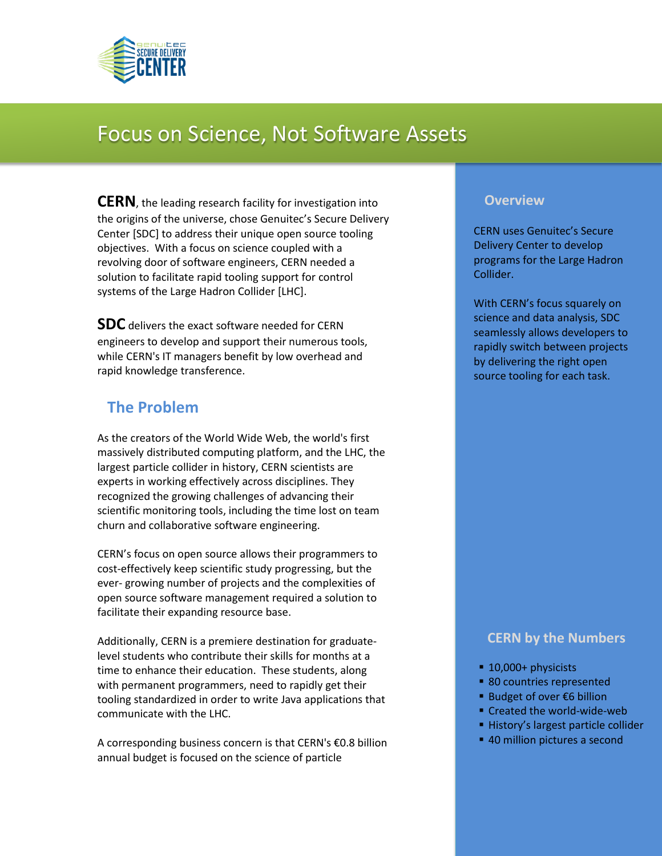

# Focus on Science, Not Software Assets

**CERN**, the leading research facility for investigation into the origins of the universe, chose Genuitec's Secure Delivery Center [SDC] to address their unique open source tooling objectives. With a focus on science coupled with a revolving door of software engineers, CERN needed a solution to facilitate rapid tooling support for control systems of the Large Hadron Collider [LHC].

**SDC** delivers the exact software needed for CERN engineers to develop and support their numerous tools, while CERN's IT managers benefit by low overhead and rapid knowledge transference.

# **The Problem**

As the creators of the World Wide Web, the world's first massively distributed computing platform, and the LHC, the largest particle collider in history, CERN scientists are experts in working effectively across disciplines. They recognized the growing challenges of advancing their scientific monitoring tools, including the time lost on team churn and collaborative software engineering.

CERN's focus on open source allows their programmers to cost-effectively keep scientific study progressing, but the ever- growing number of projects and the complexities of open source software management required a solution to facilitate their expanding resource base.

Additionally, CERN is a premiere destination for graduatelevel students who contribute their skills for months at a time to enhance their education. These students, along with permanent programmers, need to rapidly get their tooling standardized in order to write Java applications that communicate with the LHC.

A corresponding business concern is that CERN's €0.8 billion annual budget is focused on the science of particle

#### **Overview**

CERN uses Genuitec's Secure Delivery Center to develop programs for the Large Hadron Collider.

With CERN's focus squarely on science and data analysis, SDC seamlessly allows developers to rapidly switch between projects by delivering the right open source tooling for each task.

## **CERN by the Numbers**

- 10,000+ physicists
- 80 countries represented
- Budget of over €6 billion
- Created the world-wide-web
- **History's largest particle collider**
- 40 million pictures a second